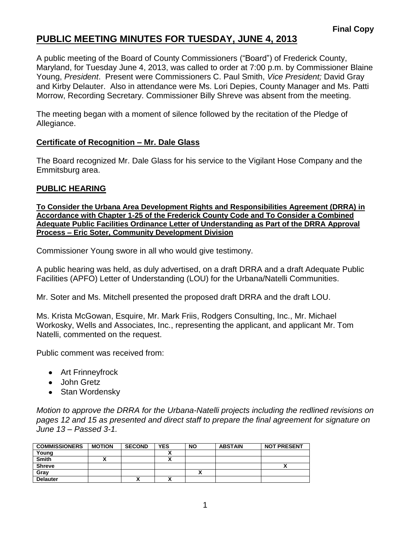# **PUBLIC MEETING MINUTES FOR TUESDAY, JUNE 4, 2013**

A public meeting of the Board of County Commissioners ("Board") of Frederick County, Maryland, for Tuesday June 4, 2013, was called to order at 7:00 p.m. by Commissioner Blaine Young, *President*. Present were Commissioners C. Paul Smith, *Vice President;* David Gray and Kirby Delauter. Also in attendance were Ms. Lori Depies, County Manager and Ms. Patti Morrow, Recording Secretary. Commissioner Billy Shreve was absent from the meeting.

The meeting began with a moment of silence followed by the recitation of the Pledge of Allegiance.

### **Certificate of Recognition – Mr. Dale Glass**

The Board recognized Mr. Dale Glass for his service to the Vigilant Hose Company and the Emmitsburg area.

## **PUBLIC HEARING**

**To Consider the Urbana Area Development Rights and Responsibilities Agreement (DRRA) in Accordance with Chapter 1-25 of the Frederick County Code and To Consider a Combined Adequate Public Facilities Ordinance Letter of Understanding as Part of the DRRA Approval Process – Eric Soter, Community Development Division**

Commissioner Young swore in all who would give testimony.

A public hearing was held, as duly advertised, on a draft DRRA and a draft Adequate Public Facilities (APFO) Letter of Understanding (LOU) for the Urbana/Natelli Communities.

Mr. Soter and Ms. Mitchell presented the proposed draft DRRA and the draft LOU.

Ms. Krista McGowan, Esquire, Mr. Mark Friis, Rodgers Consulting, Inc., Mr. Michael Workosky, Wells and Associates, Inc., representing the applicant, and applicant Mr. Tom Natelli, commented on the request.

Public comment was received from:

- Art Frinneyfrock
- John Gretz
- Stan Wordensky

*Motion to approve the DRRA for the Urbana-Natelli projects including the redlined revisions on pages 12 and 15 as presented and direct staff to prepare the final agreement for signature on June 13 – Passed 3-1.*

| <b>COMMISSIONERS</b> | <b>MOTION</b> | <b>SECOND</b> | <b>YES</b> | <b>NO</b> | <b>ABSTAIN</b> | <b>NOT PRESENT</b> |
|----------------------|---------------|---------------|------------|-----------|----------------|--------------------|
| Young                |               |               |            |           |                |                    |
| <b>Smith</b>         |               |               | v<br>      |           |                |                    |
| <b>Shreve</b>        |               |               |            |           |                |                    |
| Grav                 |               |               |            |           |                |                    |
| <b>Delauter</b>      |               |               | ٠.         |           |                |                    |